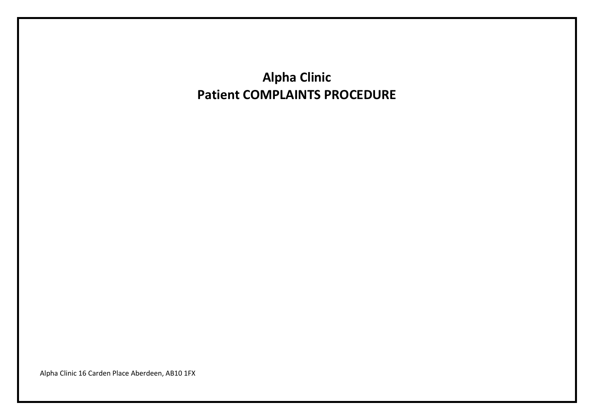**Alpha Clinic Patient COMPLAINTS PROCEDURE**

Alpha Clinic 16 Carden Place Aberdeen, AB10 1FX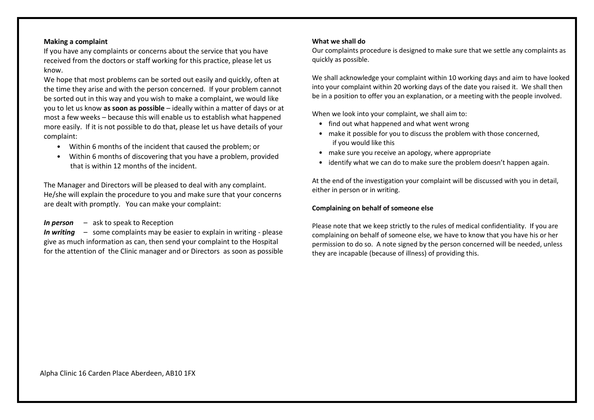#### **Making a complaint**

If you have any complaints or concerns about the service that you have received from the doctors or staff working for this practice, please let us know.

We hope that most problems can be sorted out easily and quickly, often at the time they arise and with the person concerned. If your problem cannot be sorted out in this way and you wish to make a complaint, we would like you to let us know **as soon as possible** – ideally within a matter of days or at most a few weeks – because this will enable us to establish what happened more easily. If it is not possible to do that, please let us have details of your complaint:

- Within 6 months of the incident that caused the problem; or
- Within 6 months of discovering that you have a problem, provided that is within 12 months of the incident.

The Manager and Directors will be pleased to deal with any complaint. He/she will explain the procedure to you and make sure that your concerns are dealt with promptly. You can make your complaint:

## *In person* – ask to speak to Reception

*In writing* – some complaints may be easier to explain in writing - please give as much information as can, then send your complaint to the Hospital for the attention of the Clinic manager and or Directors as soon as possible

#### **What we shall do**

Our complaints procedure is designed to make sure that we settle any complaints as quickly as possible.

We shall acknowledge your complaint within 10 working days and aim to have looked into your complaint within 20 working days of the date you raised it. We shall then be in a position to offer you an explanation, or a meeting with the people involved.

When we look into your complaint, we shall aim to:

- find out what happened and what went wrong
- make it possible for you to discuss the problem with those concerned, if you would like this
- make sure you receive an apology, where appropriate
- identify what we can do to make sure the problem doesn't happen again.

At the end of the investigation your complaint will be discussed with you in detail, either in person or in writing.

#### **Complaining on behalf of someone else**

Please note that we keep strictly to the rules of medical confidentiality. If you are complaining on behalf of someone else, we have to know that you have his or her permission to do so. A note signed by the person concerned will be needed, unless they are incapable (because of illness) of providing this.